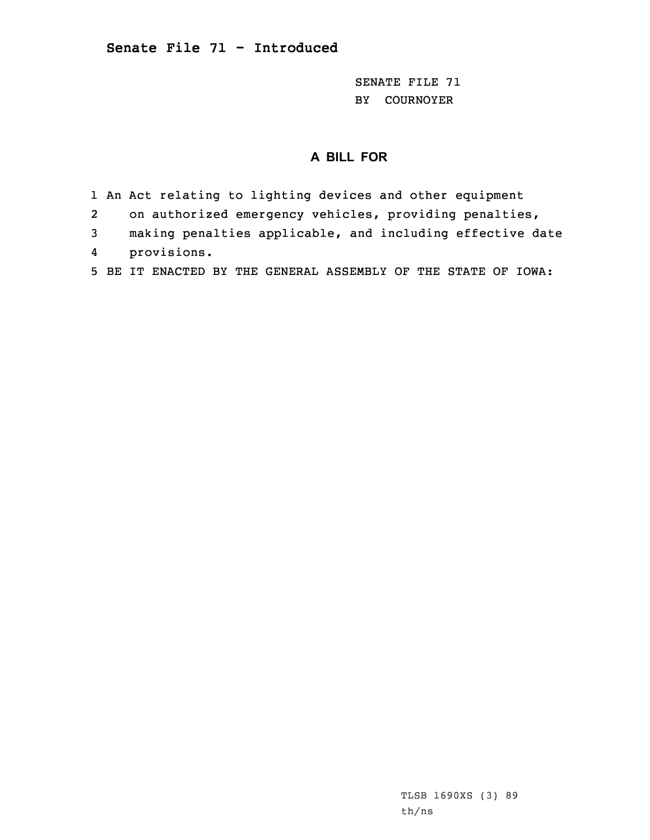SENATE FILE 71 BY COURNOYER

## **A BILL FOR**

- 1 An Act relating to lighting devices and other equipment
- 2on authorized emergency vehicles, providing penalties,
- 3 making penalties applicable, and including effective date 4provisions.
- 5 BE IT ENACTED BY THE GENERAL ASSEMBLY OF THE STATE OF IOWA: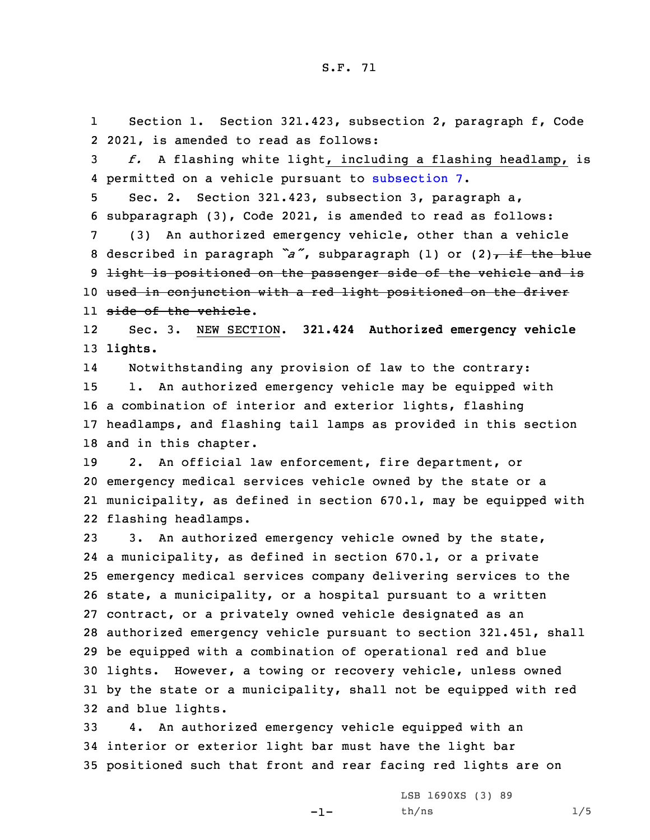1 Section 1. Section 321.423, subsection 2, paragraph f, Code 2 2021, is amended to read as follows:

3 *f.* <sup>A</sup> flashing white light, including <sup>a</sup> flashing headlamp, is 4 permitted on <sup>a</sup> vehicle pursuant to [subsection](https://www.legis.iowa.gov/docs/code/2021/321.423.pdf) 7.

5 Sec. 2. Section 321.423, subsection 3, paragraph a, 6 subparagraph (3), Code 2021, is amended to read as follows:

7 (3) An authorized emergency vehicle, other than <sup>a</sup> vehicle 8 described in paragraph  $a''$ , subparagraph (1) or (2), if the blue 9 light is positioned on the passenger side of the vehicle and is 10 used in conjunction with <sup>a</sup> red light positioned on the driver 11 side of the vehicle.

12 Sec. 3. NEW SECTION. **321.424 Authorized emergency vehicle** 13 **lights.**

14 Notwithstanding any provision of law to the contrary: 1. An authorized emergency vehicle may be equipped with <sup>a</sup> combination of interior and exterior lights, flashing headlamps, and flashing tail lamps as provided in this section and in this chapter.

 2. An official law enforcement, fire department, or emergency medical services vehicle owned by the state or <sup>a</sup> municipality, as defined in section 670.1, may be equipped with flashing headlamps.

 3. An authorized emergency vehicle owned by the state, <sup>a</sup> municipality, as defined in section 670.1, or <sup>a</sup> private emergency medical services company delivering services to the state, <sup>a</sup> municipality, or <sup>a</sup> hospital pursuant to <sup>a</sup> written contract, or <sup>a</sup> privately owned vehicle designated as an authorized emergency vehicle pursuant to section 321.451, shall be equipped with <sup>a</sup> combination of operational red and blue lights. However, <sup>a</sup> towing or recovery vehicle, unless owned by the state or <sup>a</sup> municipality, shall not be equipped with red and blue lights.

33 4. An authorized emergency vehicle equipped with an 34 interior or exterior light bar must have the light bar 35 positioned such that front and rear facing red lights are on

-1-

LSB 1690XS (3) 89  $th/ns$  1/5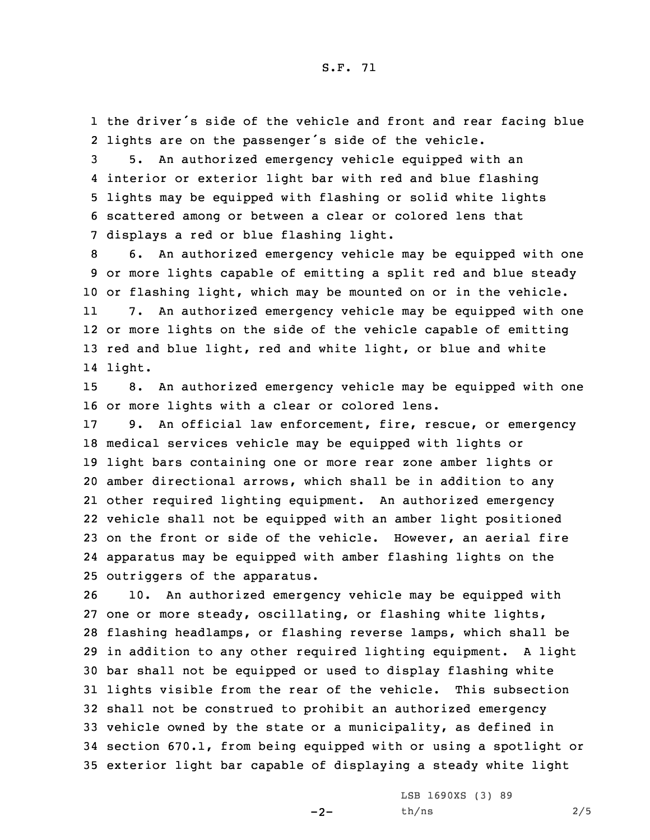S.F. 71

1 the driver's side of the vehicle and front and rear facing blue 2 lights are on the passenger's side of the vehicle.

 5. An authorized emergency vehicle equipped with an interior or exterior light bar with red and blue flashing lights may be equipped with flashing or solid white lights scattered among or between <sup>a</sup> clear or colored lens that displays <sup>a</sup> red or blue flashing light.

 6. An authorized emergency vehicle may be equipped with one or more lights capable of emitting <sup>a</sup> split red and blue steady or flashing light, which may be mounted on or in the vehicle. 11 7. An authorized emergency vehicle may be equipped with one or more lights on the side of the vehicle capable of emitting red and blue light, red and white light, or blue and white 14 light.

15 8. An authorized emergency vehicle may be equipped with one 16 or more lights with <sup>a</sup> clear or colored lens.

 9. An official law enforcement, fire, rescue, or emergency medical services vehicle may be equipped with lights or light bars containing one or more rear zone amber lights or amber directional arrows, which shall be in addition to any other required lighting equipment. An authorized emergency vehicle shall not be equipped with an amber light positioned on the front or side of the vehicle. However, an aerial fire apparatus may be equipped with amber flashing lights on the outriggers of the apparatus.

 10. An authorized emergency vehicle may be equipped with one or more steady, oscillating, or flashing white lights, flashing headlamps, or flashing reverse lamps, which shall be in addition to any other required lighting equipment. <sup>A</sup> light bar shall not be equipped or used to display flashing white lights visible from the rear of the vehicle. This subsection shall not be construed to prohibit an authorized emergency vehicle owned by the state or <sup>a</sup> municipality, as defined in section 670.1, from being equipped with or using <sup>a</sup> spotlight or exterior light bar capable of displaying <sup>a</sup> steady white light

 $-2-$ 

LSB 1690XS (3) 89 th/ns 2/5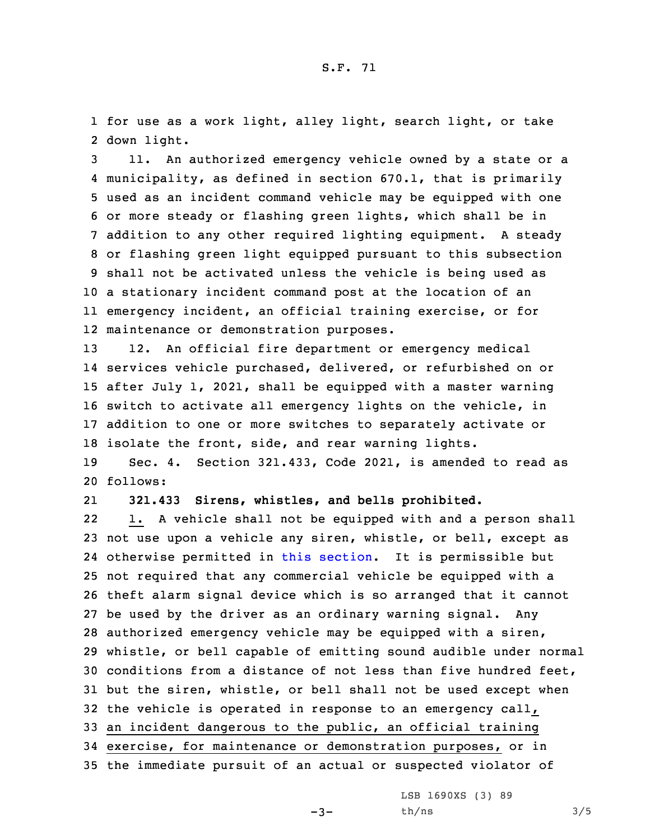1 for use as <sup>a</sup> work light, alley light, search light, or take 2 down light.

 11. An authorized emergency vehicle owned by <sup>a</sup> state or <sup>a</sup> municipality, as defined in section 670.1, that is primarily used as an incident command vehicle may be equipped with one or more steady or flashing green lights, which shall be in addition to any other required lighting equipment. <sup>A</sup> steady or flashing green light equipped pursuant to this subsection shall not be activated unless the vehicle is being used as <sup>a</sup> stationary incident command post at the location of an emergency incident, an official training exercise, or for maintenance or demonstration purposes.

 12. An official fire department or emergency medical services vehicle purchased, delivered, or refurbished on or after July 1, 2021, shall be equipped with <sup>a</sup> master warning switch to activate all emergency lights on the vehicle, in addition to one or more switches to separately activate or isolate the front, side, and rear warning lights.

19 Sec. 4. Section 321.433, Code 2021, is amended to read as 20 follows:

21**321.433 Sirens, whistles, and bells prohibited.**

22 1. <sup>A</sup> vehicle shall not be equipped with and <sup>a</sup> person shall not use upon <sup>a</sup> vehicle any siren, whistle, or bell, except as otherwise permitted in this [section](https://www.legis.iowa.gov/docs/code/2021/321.433.pdf). It is permissible but not required that any commercial vehicle be equipped with <sup>a</sup> theft alarm signal device which is so arranged that it cannot be used by the driver as an ordinary warning signal. Any authorized emergency vehicle may be equipped with <sup>a</sup> siren, whistle, or bell capable of emitting sound audible under normal conditions from <sup>a</sup> distance of not less than five hundred feet, but the siren, whistle, or bell shall not be used except when the vehicle is operated in response to an emergency call, an incident dangerous to the public, an official training exercise, for maintenance or demonstration purposes, or in the immediate pursuit of an actual or suspected violator of

LSB 1690XS (3) 89

 $-3-$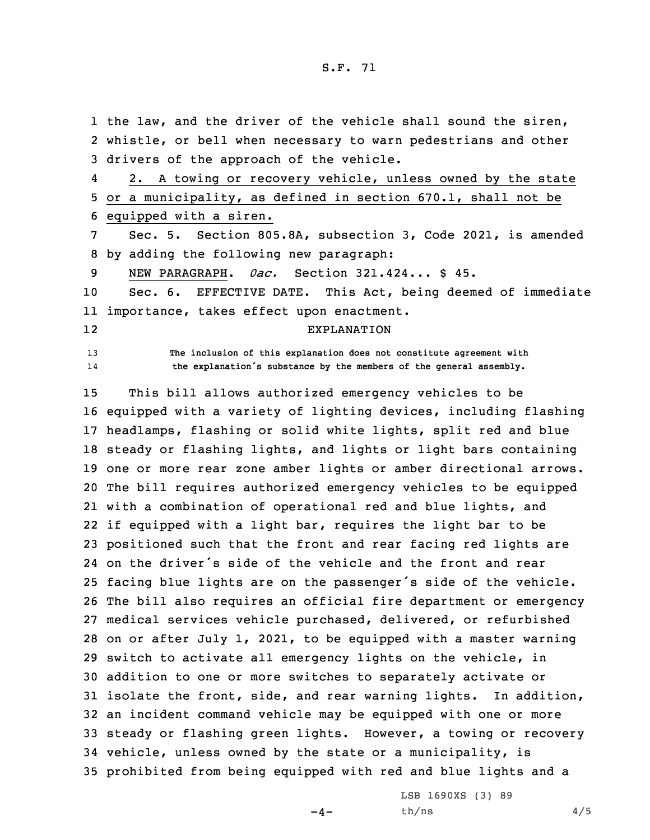1 the law, and the driver of the vehicle shall sound the siren, 2 whistle, or bell when necessary to warn pedestrians and other 3 drivers of the approach of the vehicle.

4 2. <sup>A</sup> towing or recovery vehicle, unless owned by the state 5 or <sup>a</sup> municipality, as defined in section 670.1, shall not be 6 equipped with <sup>a</sup> siren.

7 Sec. 5. Section 805.8A, subsection 3, Code 2021, is amended 8 by adding the following new paragraph:

9 NEW PARAGRAPH. *0ac.* Section 321.424... \$ 45.

10 Sec. 6. EFFECTIVE DATE. This Act, being deemed of immediate 11 importance, takes effect upon enactment.

12

14

13 **The inclusion of this explanation does not constitute agreement with the explanation's substance by the members of the general assembly.**

EXPLANATION

 This bill allows authorized emergency vehicles to be equipped with <sup>a</sup> variety of lighting devices, including flashing headlamps, flashing or solid white lights, split red and blue steady or flashing lights, and lights or light bars containing one or more rear zone amber lights or amber directional arrows. The bill requires authorized emergency vehicles to be equipped with <sup>a</sup> combination of operational red and blue lights, and if equipped with <sup>a</sup> light bar, requires the light bar to be positioned such that the front and rear facing red lights are on the driver's side of the vehicle and the front and rear facing blue lights are on the passenger's side of the vehicle. The bill also requires an official fire department or emergency medical services vehicle purchased, delivered, or refurbished on or after July 1, 2021, to be equipped with <sup>a</sup> master warning switch to activate all emergency lights on the vehicle, in addition to one or more switches to separately activate or isolate the front, side, and rear warning lights. In addition, an incident command vehicle may be equipped with one or more steady or flashing green lights. However, <sup>a</sup> towing or recovery vehicle, unless owned by the state or <sup>a</sup> municipality, is prohibited from being equipped with red and blue lights and <sup>a</sup>

 $-4-$ 

LSB 1690XS (3) 89  $th/ns$  4/5